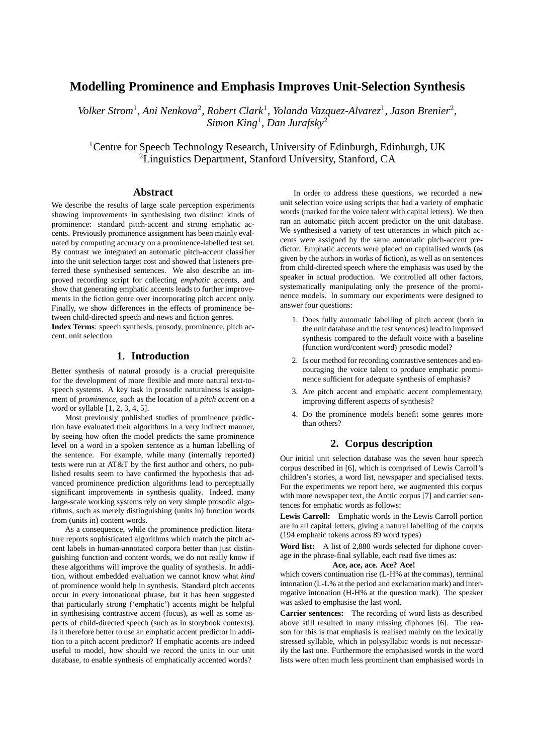# **Modelling Prominence and Emphasis Improves Unit-Selection Synthesis**

Volker Strom<sup>1</sup>, Ani Nenkova<sup>2</sup>, Robert Clark<sup>1</sup>, Yolanda Vazquez-Alvarez<sup>1</sup>, Jason Brenier<sup>2</sup>, *Simon King*<sup>1</sup> *, Dan Jurafsky*<sup>2</sup>

<sup>1</sup>Centre for Speech Technology Research, University of Edinburgh, Edinburgh, UK <sup>2</sup>Linguistics Department, Stanford University, Stanford, CA

# **Abstract**

We describe the results of large scale perception experiments showing improvements in synthesising two distinct kinds of prominence: standard pitch-accent and strong emphatic accents. Previously prominence assignment has been mainly evaluated by computing accuracy on a prominence-labelled test set. By contrast we integrated an automatic pitch-accent classifier into the unit selection target cost and showed that listeners preferred these synthesised sentences. We also describe an improved recording script for collecting *emphatic* accents, and show that generating emphatic accents leads to further improvements in the fiction genre over incorporating pitch accent only. Finally, we show differences in the effects of prominence between child-directed speech and news and fiction genres.

**Index Terms**: speech synthesis, prosody, prominence, pitch accent, unit selection

# **1. Introduction**

Better synthesis of natural prosody is a crucial prerequisite for the development of more flexible and more natural text-tospeech systems. A key task in prosodic naturalness is assignment of *prominence*, such as the location of a *pitch accent* on a word or syllable [1, 2, 3, 4, 5].

Most previously published studies of prominence prediction have evaluated their algorithms in a very indirect manner, by seeing how often the model predicts the same prominence level on a word in a spoken sentence as a human labelling of the sentence. For example, while many (internally reported) tests were run at AT&T by the first author and others, no published results seem to have confirmed the hypothesis that advanced prominence prediction algorithms lead to perceptually significant improvements in synthesis quality. Indeed, many large-scale working systems rely on very simple prosodic algorithms, such as merely distinguishing (units in) function words from (units in) content words.

As a consequence, while the prominence prediction literature reports sophisticated algorithms which match the pitch accent labels in human-annotated corpora better than just distinguishing function and content words, we do not really know if these algorithms will improve the quality of synthesis. In addition, without embedded evaluation we cannot know what *kind* of prominence would help in synthesis. Standard pitch accents occur in every intonational phrase, but it has been suggested that particularly strong ('emphatic') accents might be helpful in synthesising contrastive accent (focus), as well as some aspects of child-directed speech (such as in storybook contexts). Is it therefore better to use an emphatic accent predictor in addition to a pitch accent predictor? If emphatic accents are indeed useful to model, how should we record the units in our unit database, to enable synthesis of emphatically accented words?

In order to address these questions, we recorded a new unit selection voice using scripts that had a variety of emphatic words (marked for the voice talent with capital letters). We then ran an automatic pitch accent predictor on the unit database. We synthesised a variety of test utterances in which pitch accents were assigned by the same automatic pitch-accent predictor. Emphatic accents were placed on capitalised words (as given by the authors in works of fiction), as well as on sentences from child-directed speech where the emphasis was used by the speaker in actual production. We controlled all other factors, systematically manipulating only the presence of the prominence models. In summary our experiments were designed to answer four questions:

- 1. Does fully automatic labelling of pitch accent (both in the unit database and the test sentences) lead to improved synthesis compared to the default voice with a baseline (function word/content word) prosodic model?
- 2. Is our method for recording contrastive sentences and encouraging the voice talent to produce emphatic prominence sufficient for adequate synthesis of emphasis?
- 3. Are pitch accent and emphatic accent complementary, improving different aspects of synthesis?
- 4. Do the prominence models benefit some genres more than others?

# **2. Corpus description**

Our initial unit selection database was the seven hour speech corpus described in [6], which is comprised of Lewis Carroll's children's stories, a word list, newspaper and specialised texts. For the experiments we report here, we augmented this corpus with more newspaper text, the Arctic corpus [7] and carrier sentences for emphatic words as follows:

**Lewis Carroll:** Emphatic words in the Lewis Carroll portion are in all capital letters, giving a natural labelling of the corpus (194 emphatic tokens across 89 word types)

**Word list:** A list of 2,880 words selected for diphone coverage in the phrase-final syllable, each read five times as:

#### **Ace, ace, ace. Ace? Ace!**

which covers continuation rise (L-H% at the commas), terminal intonation (L-L% at the period and exclamation mark) and interrogative intonation (H-H% at the question mark). The speaker was asked to emphasise the last word.

**Carrier sentences:** The recording of word lists as described above still resulted in many missing diphones [6]. The reason for this is that emphasis is realised mainly on the lexically stressed syllable, which in polysyllabic words is not necessarily the last one. Furthermore the emphasised words in the word lists were often much less prominent than emphasised words in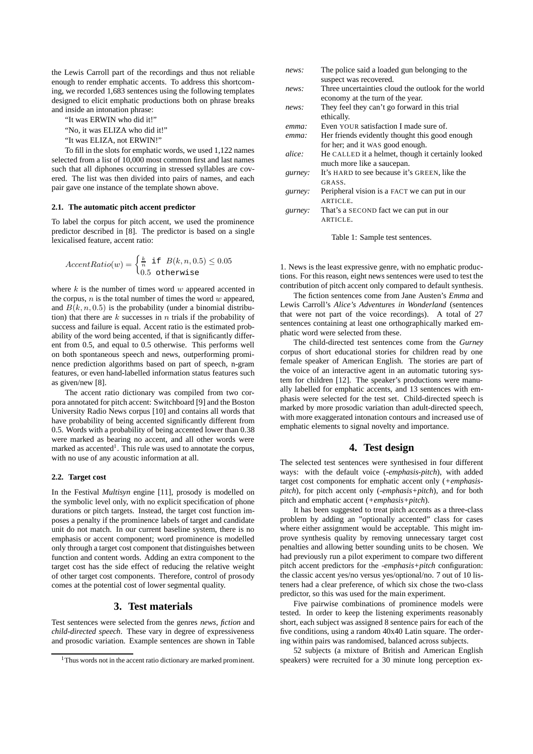the Lewis Carroll part of the recordings and thus not reliable enough to render emphatic accents. To address this shortcoming, we recorded 1,683 sentences using the following templates designed to elicit emphatic productions both on phrase breaks and inside an intonation phrase:

"It was ERWIN who did it!"

"No, it was ELIZA who did it!"

"It was ELIZA, not ERWIN!"

To fill in the slots for emphatic words, we used 1,122 names selected from a list of 10,000 most common first and last names such that all diphones occurring in stressed syllables are covered. The list was then divided into pairs of names, and each pair gave one instance of the template shown above.

#### **2.1. The automatic pitch accent predictor**

To label the corpus for pitch accent, we used the prominence predictor described in [8]. The predictor is based on a single lexicalised feature, accent ratio:

$$
AccentRatio(w) = \begin{cases} \frac{k}{n} & \text{if } B(k, n, 0.5) \le 0.05\\ 0.5 & \text{otherwise} \end{cases}
$$

where  $k$  is the number of times word  $w$  appeared accented in the corpus,  $n$  is the total number of times the word  $w$  appeared, and  $B(k, n, 0.5)$  is the probability (under a binomial distribution) that there are  $k$  successes in  $n$  trials if the probability of success and failure is equal. Accent ratio is the estimated probability of the word being accented, if that is significantly different from 0.5, and equal to 0.5 otherwise. This performs well on both spontaneous speech and news, outperforming prominence prediction algorithms based on part of speech, n-gram features, or even hand-labelled information status features such as given/new [8].

The accent ratio dictionary was compiled from two corpora annotated for pitch accent: Switchboard [9] and the Boston University Radio News corpus [10] and contains all words that have probability of being accented significantly different from 0.5. Words with a probability of being accented lower than 0.38 were marked as bearing no accent, and all other words were marked as accented<sup>1</sup>. This rule was used to annotate the corpus, with no use of any acoustic information at all.

#### **2.2. Target cost**

In the Festival *Multisyn* engine [11], prosody is modelled on the symbolic level only, with no explicit specification of phone durations or pitch targets. Instead, the target cost function imposes a penalty if the prominence labels of target and candidate unit do not match. In our current baseline system, there is no emphasis or accent component; word prominence is modelled only through a target cost component that distinguishes between function and content words. Adding an extra component to the target cost has the side effect of reducing the relative weight of other target cost components. Therefore, control of prosody comes at the potential cost of lower segmental quality.

# **3. Test materials**

Test sentences were selected from the genres *news*, *fiction* and *child-directed speech*. These vary in degree of expressiveness and prosodic variation. Example sentences are shown in Table

| news:    | The police said a loaded gun belonging to the       |
|----------|-----------------------------------------------------|
|          | suspect was recovered.                              |
| news:    | Three uncertainties cloud the outlook for the world |
|          | economy at the turn of the year.                    |
| news:    | They feel they can't go forward in this trial       |
|          | ethically.                                          |
| $emma$ : | Even YOUR satisfaction I made sure of.              |
| $emma$ : | Her friends evidently thought this good enough      |
|          | for her; and it WAS good enough.                    |
| alice:   | He CALLED it a helmet, though it certainly looked   |
|          | much more like a saucepan.                          |
| gurney:  | It's HARD to see because it's GREEN, like the       |
|          | GRASS.                                              |
| gurney:  | Peripheral vision is a FACT we can put in our       |
|          | ARTICLE.                                            |
| gurney:  | That's a SECOND fact we can put in our              |
|          | ARTICLE.                                            |
|          |                                                     |

Table 1: Sample test sentences.

1. News is the least expressive genre, with no emphatic productions. For this reason, eight news sentences were used to test the contribution of pitch accent only compared to default synthesis.

The fiction sentences come from Jane Austen's *Emma* and Lewis Carroll's *Alice's Adventures in Wonderland* (sentences that were not part of the voice recordings). A total of 27 sentences containing at least one orthographically marked emphatic word were selected from these.

The child-directed test sentences come from the *Gurney* corpus of short educational stories for children read by one female speaker of American English. The stories are part of the voice of an interactive agent in an automatic tutoring system for children [12]. The speaker's productions were manually labelled for emphatic accents, and 13 sentences with emphasis were selected for the test set. Child-directed speech is marked by more prosodic variation than adult-directed speech, with more exaggerated intonation contours and increased use of emphatic elements to signal novelty and importance.

# **4. Test design**

The selected test sentences were synthesised in four different ways: with the default voice (*-emphasis-pitch*), with added target cost components for emphatic accent only (*+emphasispitch*), for pitch accent only (*-emphasis+pitch*), and for both pitch and emphatic accent (*+emphasis+pitch*).

It has been suggested to treat pitch accents as a three-class problem by adding an "optionally accented" class for cases where either assignment would be acceptable. This might improve synthesis quality by removing unnecessary target cost penalties and allowing better sounding units to be chosen. We had previously run a pilot experiment to compare two different pitch accent predictors for the *-emphasis+pitch* configuration: the classic accent yes/no versus yes/optional/no. 7 out of 10 listeners had a clear preference, of which six chose the two-class predictor, so this was used for the main experiment.

Five pairwise combinations of prominence models were tested. In order to keep the listening experiments reasonably short, each subject was assigned 8 sentence pairs for each of the five conditions, using a random 40x40 Latin square. The ordering within pairs was randomised, balanced across subjects.

52 subjects (a mixture of British and American English speakers) were recruited for a 30 minute long perception ex-

<sup>&</sup>lt;sup>1</sup>Thus words not in the accent ratio dictionary are marked prominent.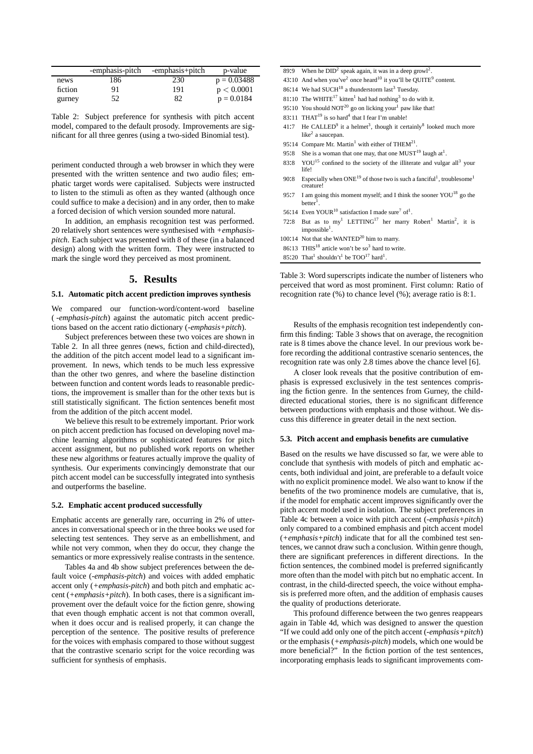|         | -emphasis-pitch | -emphasis+pitch | p-value       |
|---------|-----------------|-----------------|---------------|
| news    | 186             | 230             | $p = 0.03488$ |
| fiction | 91              | 191             | p < 0.0001    |
| gurney  | 52              | 82              | $p = 0.0184$  |

Table 2: Subject preference for synthesis with pitch accent model, compared to the default prosody. Improvements are significant for all three genres (using a two-sided Binomial test).

periment conducted through a web browser in which they were presented with the written sentence and two audio files; emphatic target words were capitalised. Subjects were instructed to listen to the stimuli as often as they wanted (although once could suffice to make a decision) and in any order, then to make a forced decision of which version sounded more natural.

In addition, an emphasis recognition test was performed. 20 relatively short sentences were synthesised with *+emphasispitch*. Each subject was presented with 8 of these (in a balanced design) along with the written form. They were instructed to mark the single word they perceived as most prominent.

### **5. Results**

### **5.1. Automatic pitch accent prediction improves synthesis**

We compared our function-word/content-word baseline ( *-emphasis-pitch*) against the automatic pitch accent predictions based on the accent ratio dictionary (*-emphasis+pitch*).

Subject preferences between these two voices are shown in Table 2. In all three genres (news, fiction and child-directed), the addition of the pitch accent model lead to a significant improvement. In news, which tends to be much less expressive than the other two genres, and where the baseline distinction between function and content words leads to reasonable predictions, the improvement is smaller than for the other texts but is still statistically significant. The fiction sentences benefit most from the addition of the pitch accent model.

We believe this result to be extremely important. Prior work on pitch accent prediction has focused on developing novel machine learning algorithms or sophisticated features for pitch accent assignment, but no published work reports on whether these new algorithms or features actually improve the quality of synthesis. Our experiments convincingly demonstrate that our pitch accent model can be successfully integrated into synthesis and outperforms the baseline.

#### **5.2. Emphatic accent produced successfully**

Emphatic accents are generally rare, occurring in 2% of utterances in conversational speech or in the three books we used for selecting test sentences. They serve as an embellishment, and while not very common, when they do occur, they change the semantics or more expressively realise contrasts in the sentence.

Tables 4a and 4b show subject preferences between the default voice (*-emphasis-pitch*) and voices with added emphatic accent only (*+emphasis-pitch*) and both pitch and emphatic accent (*+emphasis+pitch*). In both cases, there is a significant improvement over the default voice for the fiction genre, showing that even though emphatic accent is not that common overall, when it does occur and is realised properly, it can change the perception of the sentence. The positive results of preference for the voices with emphasis compared to those without suggest that the contrastive scenario script for the voice recording was sufficient for synthesis of emphasis.

- 89:9 When he  $DID<sup>2</sup>$  speak again, it was in a deep growl<sup>2</sup>.
- 43:10 And when you've<sup>2</sup> once heard<sup>10</sup> it you'll be QUITE<sup>9</sup> content.
- 86:14 We had SUCH $^{18}$  a thunderstorm last<sup>3</sup> Tuesday.
- 81:10 The WHITE<sup>17</sup> kitten<sup>1</sup> had had nothing<sup>3</sup> to do with it.
- 95:10 You should  $NOT^{20}$  go on licking your<sup>1</sup> paw like that!
- 83:11 THAT<sup>19</sup> is so hard<sup>4</sup> that I fear I'm unable!
- 41:7 He CALLED<sup>9</sup> it a helmet<sup>3</sup>, though it certainly<sup>8</sup> looked much more like<sup>2</sup> a saucepan.

.

- 95:14 Compare Mr. Martin<sup>1</sup> with either of THEM<sup>21</sup>
- 95:8 She is a woman that one may, that one  $MUST^{19}$  laugh at<sup>1</sup>.
- 83:8 YOU<sup>15</sup> confined to the society of the illiterate and vulgar all<sup>3</sup> your life!
- 90:8 Especially when  $ONE^{19}$  of those two is such a fanciful<sup>1</sup>, troublesome<sup>1</sup> creature!
- 95:7 I am going this moment myself; and I think the sooner  $\text{YOU}^{18}$  go the  $b$ etter<sup>1</sup> .
- 56:14 Even YOUR<sup>10</sup> satisfaction I made sure<sup>7</sup> of<sup>1</sup>.
- 72:8 But as to my<sup>1</sup> LETTING<sup>17</sup> her marry Robert<sup>1</sup> Martin<sup>2</sup>, it is impossible<sup>1</sup>.
- 100:14 Not that she WANTED<sup>20</sup> him to marry.
- 86:13 THIS<sup>18</sup> article won't be so<sup>3</sup> hard to write.
- 85:20 That<sup>1</sup> shouldn't<sup>1</sup> be  $TOO<sup>17</sup>$  hard<sup>1</sup>.

Table 3: Word superscripts indicate the number of listeners who perceived that word as most prominent. First column: Ratio of recognition rate (%) to chance level (%); average ratio is 8:1.

Results of the emphasis recognition test independently confirm this finding: Table 3 shows that on average, the recognition rate is 8 times above the chance level. In our previous work before recording the additional contrastive scenario sentences, the recognition rate was only 2.8 times above the chance level [6].

A closer look reveals that the positive contribution of emphasis is expressed exclusively in the test sentences comprising the fiction genre. In the sentences from Gurney, the childdirected educational stories, there is no significant difference between productions with emphasis and those without. We discuss this difference in greater detail in the next section.

#### **5.3. Pitch accent and emphasis benefits are cumulative**

Based on the results we have discussed so far, we were able to conclude that synthesis with models of pitch and emphatic accents, both individual and joint, are preferable to a default voice with no explicit prominence model. We also want to know if the benefits of the two prominence models are cumulative, that is, if the model for emphatic accent improves significantly over the pitch accent model used in isolation. The subject preferences in Table 4c between a voice with pitch accent (*-emphasis+pitch*) only compared to a combined emphasis and pitch accent model (*+emphasis+pitch*) indicate that for all the combined test sentences, we cannot draw such a conclusion. Within genre though, there are significant preferences in different directions. In the fiction sentences, the combined model is preferred significantly more often than the model with pitch but no emphatic accent. In contrast, in the child-directed speech, the voice without emphasis is preferred more often, and the addition of emphasis causes the quality of productions deteriorate.

This profound difference between the two genres reappears again in Table 4d, which was designed to answer the question "If we could add only one of the pitch accent (*-emphasis+pitch*) or the emphasis (*+emphasis-pitch*) models, which one would be more beneficial?" In the fiction portion of the test sentences, incorporating emphasis leads to significant improvements com-